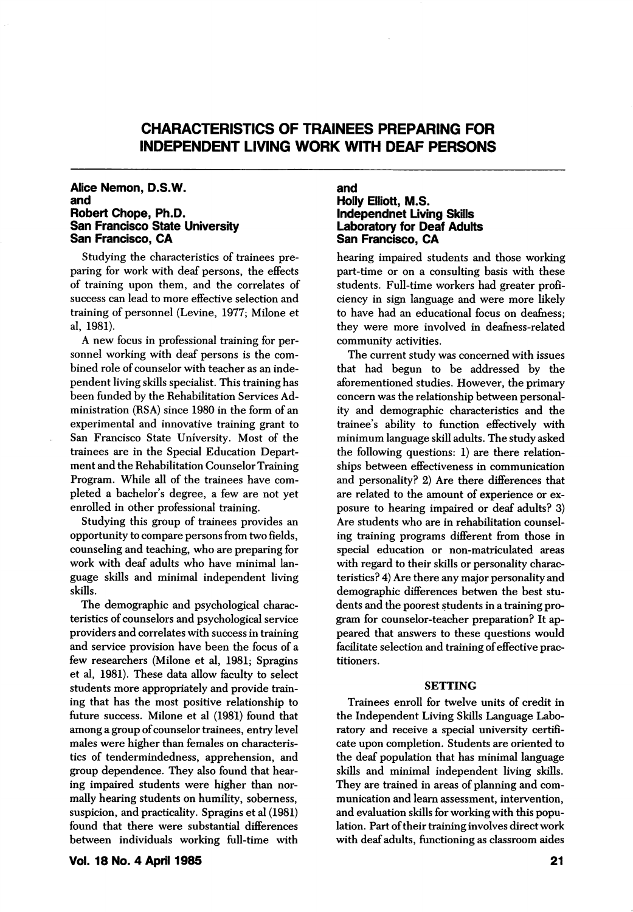# CHARACTERISTICS OF TRAINEES PREPARING FOR INDEPENDENT LIVING WORK WITH DEAF PERSONS

#### Alice Nemon, D.S.W. and Robert Chope, Ph.D. San Francisco State University San Francisco, CA

Studying the characteristics of trainees pre paring for work with deaf persons, the effects of training upon them, and the correlates of success can lead to more effective selection and training of personnel (Levine, 1977; Milone et al, 1981).

A new focus in professional training for per sonnel working with deaf persons is the com bined role of counselor with teacher as an inde pendent living skills specialist. This training has been funded by the Rehabilitation Services Ad ministration (RSA) since 1980 in the form of an experimental and innovative training grant to San Francisco State University. Most of the trainees are in the Special Education Depart ment and the Rehabilitation Counselor Training Program. While all of the trainees have com pleted a bachelor's degree, a few are not yet enrolled in other professional training.

Studying this group of trainees provides an opportunity to compare persons from two fields, counseling and teaching, who are preparing for work with deaf adults who have minimal lan guage skills and minimal independent living skills.

The demographic and psychological charac teristics of counselors and psychological service providers and correlates with success in training and service provision have been the focus of a few researchers (Milone et al, 1981; Spragins et al, 1981). These data allow faculty to select students more appropriately and provide train ing that has the most positive relationship to future success. Milone et al (1981) found that among a group of counselor trainees, entry level males were higher than females on characteris tics of tendermindedness, apprehension, and group dependence. They also found that hear ing impaired students were higher than nor mally hearing students on humility, soberness, suspicion, and practicality. Spragins et al (1981) found that there were substantial differences between individuals working full-time with

Vol. 18 No. 4 April 1985

#### and Holly Elliott, M.S. independnet Living Skills Laboratory for Deaf Adults San Francisco, CA

hearing impaired students and those working part-time or on a consulting basis with these students. Full-time workers had greater profi ciency in sign language and were more likely to have had an educational focus on deafness; they were more involved in deafness-related community activities.

The current study was concerned with issues that had begun to be addressed by the aforementioned studies. However, the primary concern was the relationship between personal ity and demographic characteristics and the trainee's ability to function effectively with minimum language skill adults. The study asked the following questions: 1) are there relation ships between effectiveness in communication and personality? 2) Are there differences that are related to the amount of experience or ex posure to hearing impaired or deaf adults? 3) Are students who are in rehabilitation counsel ing training programs different from those in special education or non-matriculated areas with regard to their skills or personality charac teristics? 4) Are there any major personality and demographic differences betwen the best stu dents and the poorest students in a training pro gram for counselor-teacher preparation? It ap peared that answers to these questions would facilitate selection and training of effective prac titioners.

#### SETTING

Trainees enroll for twelve units of credit in the Independent Living Skills Language Labo ratory and receive a special university certifi cate upon completion. Students are oriented to the deaf population that has minimal language skills and minimal independent living skills. They are trained in areas of planning and com munication and leam assessment, intervention, and evaluation skills for working with this popu lation. Fart of their training involves direct work with deaf adults, functioning as classroom aides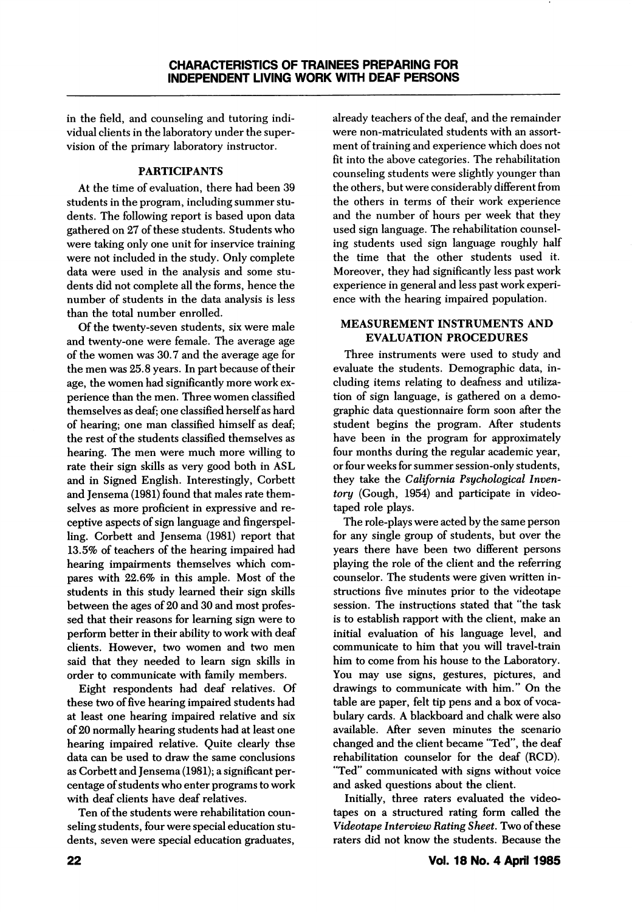in the field, and counseling and tutoring indi vidual clients in the laboratory under the super vision of the primary laboratory instructor.

# PARTICIPANTS

At the time of evaluation, there had been 39 students in the program, including summer stu dents. The following report is based upon data gathered on 27 of these students. Students who were taking only one unit for inservice training were not included in the study. Only complete data were used in the analysis and some stu dents did not complete all the forms, hence the number of students in the data analysis is less than the total number enrolled.

Of the twenty-seven students, six were male and twenty-one were female. The average age of the women was 30.7 and the average age for the men was 25.8 years. In part because of their age, the women had significantly more work ex perience than the men. Three women classified themselves as deaf; one classified herself as hard of hearing; one man classified himself as deaf; the rest of the students classified themselves as hearing. The men were much more willing to rate their sign skills as very good both in ASL and in Signed English. Interestingly, Corbett and Jensema (1981) found that males rate them selves as more proficient in expressive and re ceptive aspects of sign language and fingerspelling. Corbett and Jensema (1981) report that 13.5% of teachers of the hearing impaired had hearing impairments themselves which com pares with 22.6% in this ample. Most of the students in this study learned their sign skills between the ages of 20 and 30 and most profes sed that their reasons for learning sign were to perform better in their ability to work with deaf clients. However, two women and two men said that they needed to learn sign skills in order to communicate with family members.

Eight respondents had deaf relatives. Of these two of five hearing impaired students had at least one hearing impaired relative and six of 20 normally hearing students had at least one hearing impaired relative. Quite clearly thse data can be used to draw the same conclusions as Corbett and Jensema (1981); a significant per centage of students who enter programs to work with deaf clients have deaf relatives.

Ten of the students were rehabilitation coun seling students, four were special education stu dents, seven were special education graduates, already teachers of the deaf, and the remainder were non-matriculated students with an assort ment of training and experience which does not fit into the above categories. The rehabilitation counseling students were slightly younger than the others, but were considerably different from the others in terms of their work experience and the number of hours per week that they used sign language. The rehabilitation counsel ing students used sign language roughly half the time that the other students used it. Moreover, they had significantly less past work experience in general and less past work experi ence with the hearing impaired population.

## MEASUREMENT INSTRUMENTS AND EVALUATION PROCEDURES

Three instruments were used to study and evaluate the students. Demographic data, in cluding items relating to deafness and utiliza tion of sign language, is gathered on a demo graphic data questionnaire form soon after the student begins the program. After students have been in the program for approximately four months during the regular academic year, or four weeks for summer session-only students, they take the California Psychological Inven tory (Gough, 1954) and participate in video taped role plays.

The role-plays were acted by the same person for any single group of students, but over the years there have been two different persons playing the role of the client and the referring counselor. The students were given written in structions five minutes prior to the videotape session. The instructions stated that "the task is to establish rapport with the client, make an initial evaluation of his language level, and communicate to him that you will travel-train him to come from his house to the Laboratory. You may use signs, gestures, pictures, and drawings to communicate with him." On the table are paper, felt tip pens and a box of voca bulary cards. A blackboard and chalk were also available. After seven minutes the scenario changed and the client became "Ted", the deaf rehabilitation counselor for the deaf (RCD). "Ted" communicated with signs without voice and asked questions about the client.

Initially, three raters evaluated the video tapes on a structured rating form called the Videotape Interview Rating Sheet. Two of these raters did not know the students. Because the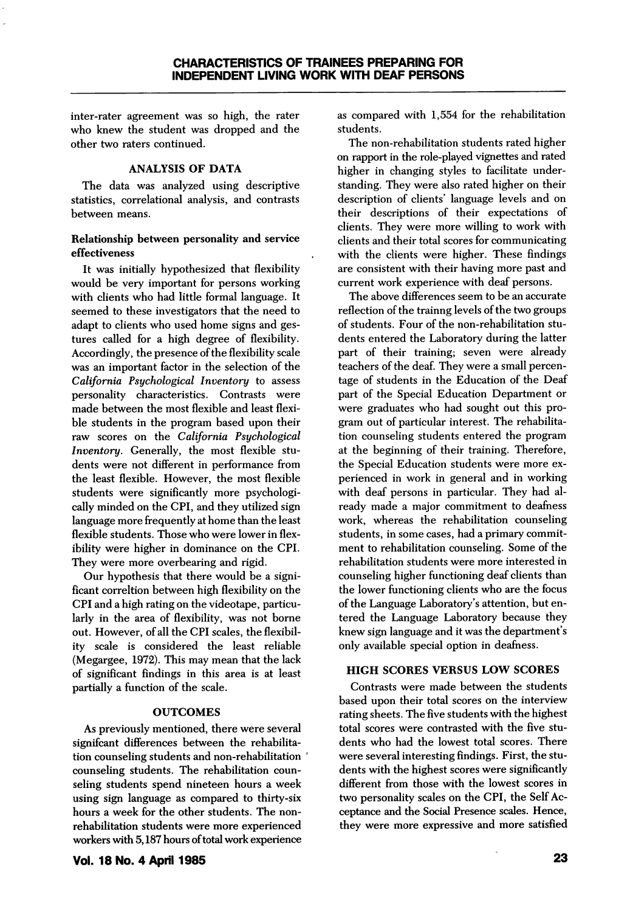inter-rater agreement was so high, the rater who knew the student was dropped and the other two raters continued.

#### ANALYSIS OF DATA

The data was analyzed using descriptive statistics, correlational analysis, and contrasts between means.

## Relationship between personality and service effectiveness

It was initially hypothesized that flexibility would be very important for persons working with clients who had little formal language. It seemed to these investigators that the need to adapt to clients who used home signs and ges tures called for a high degree of flexibility. Accordingly, the presence of the flexibility scale was an important factor in the selection of the California Psychological Inventory to assess personality characteristics. Contrasts were made between the most flexible and least flexi ble students in the program based upon their raw scores on the California Psychological Inventory. Generally, the most flexible stu dents were not different in performance from the least flexible. However, the most flexible students were significantly more psychologi cally minded on the CPI, and they utilized sign language more frequently at home than the least flexible students. Those who were lower in flex ibility were higher in dominance on the CPI. They were more overbearing and rigid.

Our hypothesis that there would be a signi ficant correltion between high flexibility on the CPI and a high rating on the videotape, particu larly in the area of flexibility, was not borne out. However, of all the CPI scales, the flexibil ity scale is considered the least reliable (Megargee, 1972). This may mean that the lack of significant findings in this area is at least partially a function of the scale.

# **OUTCOMES**

As previously mentioned, there were several significant differences between the rehabilitation counseling students and non-rehabilitation counseling students. The rehabilitation coun seling students spend nineteen hours a week using sign language as compared to thirty-six hours a week for the other students. The nonrehabilitation students were more experienced workers with 5,187 hours of total work experience

as compared with 1,554 for the rehabilitation students.

The non-rehabilitation students rated higher on rapport in the role-played vignettes and rated higher in changing styles to facilitate under standing. They were also rated higher on their description of clients' language levels and on their descriptions of their expectations of clients. They were more willing to work with clients and their total scores for communicating with the clients were higher. These findings are consistent with their having more past and current work experience with deaf persons.

The above differences seem to be an accurate reflection of the trainng levels of the two groups of students. Four of the non-rehabilitation stu dents entered the Laboratory during the latter part of their training; seven were already teachers of the deaf. They were a small percen tage of students in the Education of the Deaf part of the Special Education Department or were graduates who had sought out this pro gram out of particular interest. The rehabilita tion counseling students entered the program at the beginning of their training. Therefore, the Special Education students were more ex perienced in work in general and in working with deaf persons in particular. They had al ready made a major commitment to deafness work, whereas the rehabilitation counseling students, in some cases, had a primary commit ment to rehabilitation counseling. Some of the rehabilitation students were more interested in counseling higher functioning deaf clients than the lower functioning clients who are the focus of the Language Laboratory's attention, but en tered the Language Laboratory because they knew sign language and it was the department's only available special option in deafness.

# HIGH SCORES VERSUS LOW SCORES

Contrasts were made between the students based upon their total scores on the interview rating sheets. The five students with the highest total scores were contrasted with the five stu dents who had the lowest total scores. There were several interesting findings. First, the stu dents with the highest scores were significantly different from those with the lowest scores in two personality scales on the CPI, the Self Ac ceptance and the Social Presence scales. Hence, they were more expressive and more satisfied